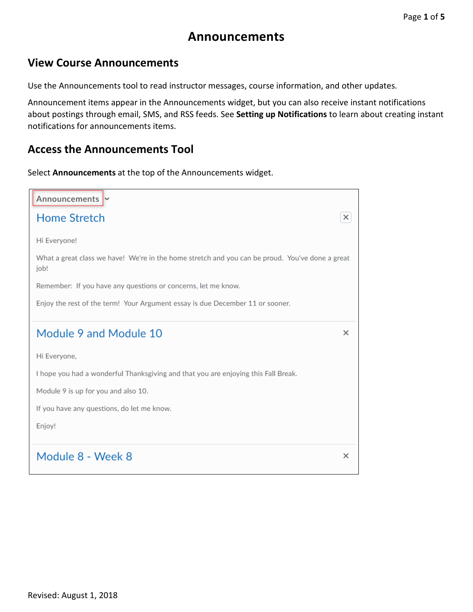# **Announcements**

### **View Course Announcements**

Use the Announcements tool to read instructor messages, course information, and other updates.

Announcement items appear in the Announcements widget, but you can also receive instant notifications about postings through email, SMS, and RSS feeds. See **Setting [up Notifications](file://acc/arapahoe/elearning/D2L%20Version%2010-1%20Documentation/10.1%20Learner%20Help/learningenvironment/getting_started/setting_your_notifications.htm)** to learn about creating instant notifications for announcements items.

#### **Access the Announcements Tool**

Select **Announcements** at the top of the Announcements widget.

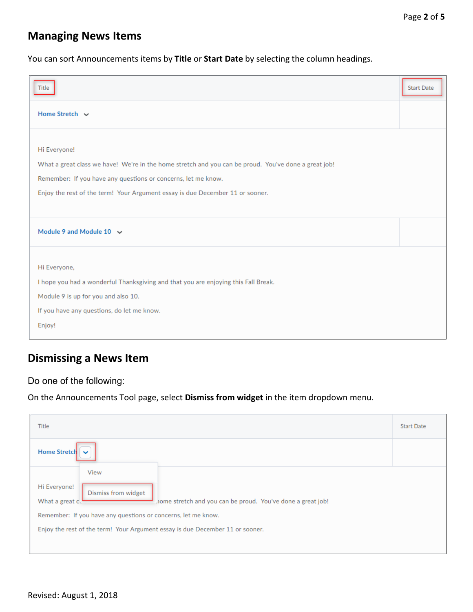## **Managing News Items**

You can sort Announcements items by **Title** or **Start Date** by selecting the column headings.

| Title                                                                                                                                                                                                                                                                  | <b>Start Date</b> |
|------------------------------------------------------------------------------------------------------------------------------------------------------------------------------------------------------------------------------------------------------------------------|-------------------|
| Home Stretch ~                                                                                                                                                                                                                                                         |                   |
| Hi Everyone!<br>What a great class we have! We're in the home stretch and you can be proud. You've done a great job!<br>Remember: If you have any questions or concerns, let me know.<br>Enjoy the rest of the term! Your Argument essay is due December 11 or sooner. |                   |
| Module 9 and Module 10 $\sim$                                                                                                                                                                                                                                          |                   |
| Hi Everyone,<br>I hope you had a wonderful Thanksgiving and that you are enjoying this Fall Break.<br>Module 9 is up for you and also 10.<br>If you have any questions, do let me know.<br>Enjoy!                                                                      |                   |

## **Dismissing a News Item**

Do one of the following:

On the Announcements Tool page, select **Dismiss from widget** in the item dropdown menu.

| Title                                                                                                                                                                                                                                                                           | <b>Start Date</b> |
|---------------------------------------------------------------------------------------------------------------------------------------------------------------------------------------------------------------------------------------------------------------------------------|-------------------|
| <b>Home Stretch</b><br>$\checkmark$                                                                                                                                                                                                                                             |                   |
| View<br>Hi Everyone!<br>Dismiss from widget<br>home stretch and you can be proud. You've done a great job!<br>What a great c.<br>Remember: If you have any questions or concerns, let me know.<br>Enjoy the rest of the term! Your Argument essay is due December 11 or sooner. |                   |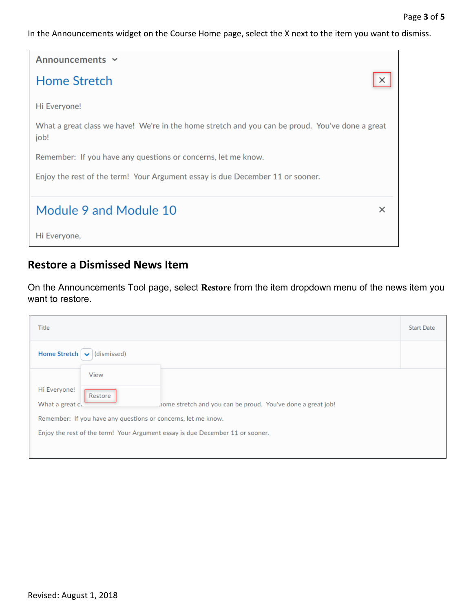In the Announcements widget on the Course Home page, select the X next to the item you want to dismiss.



### **Restore a Dismissed News Item**

On the Announcements Tool page, select **Restore** from the item dropdown menu of the news item you want to restore.

| Title                                                                                                                  | <b>Start Date</b> |
|------------------------------------------------------------------------------------------------------------------------|-------------------|
| Home Stretch $\left\lfloor \right. \left. \left. \right\lfloor \right. \left. \left( \right. \right\lfloor$ dismissed) |                   |
| View                                                                                                                   |                   |
| Hi Everyone!<br>Restore                                                                                                |                   |
| home stretch and you can be proud. You've done a great job!<br>What a great c.                                         |                   |
| Remember: If you have any questions or concerns, let me know.                                                          |                   |
| Enjoy the rest of the term! Your Argument essay is due December 11 or sooner.                                          |                   |
|                                                                                                                        |                   |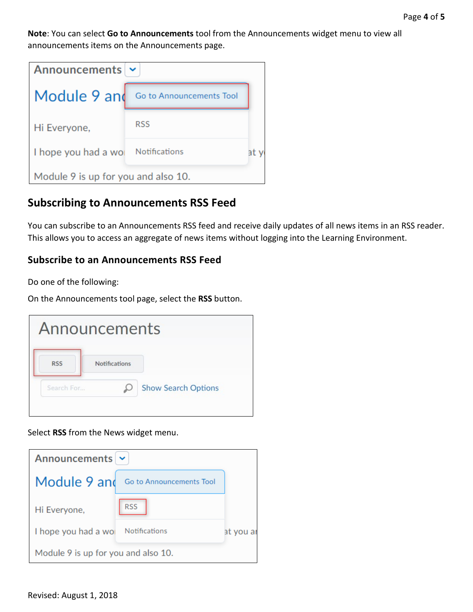**Note**: You can select **Go to Announcements** tool from the Announcements widget menu to view all announcements items on the Announcements page.

| Announcements $\sim$                |                          |    |
|-------------------------------------|--------------------------|----|
| Module 9 and                        | Go to Announcements Tool |    |
| Hi Everyone,                        | <b>RSS</b>               |    |
| I hope you had a wo                 | Notifications            | аt |
| Module 9 is up for you and also 10. |                          |    |

### **Subscribing to Announcements RSS Feed**

You can subscribe to an Announcements RSS feed and receive daily updates of all news items in an RSS reader. This allows you to access an aggregate of news items without logging into the Learning Environment.

#### **Subscribe to an Announcements RSS Feed**

Do one of the following:

On the Announcements tool page, select the **RSS** button.



Select **RSS** from the News widget menu.

| Announcements $\sim$                |                          |           |
|-------------------------------------|--------------------------|-----------|
| Module 9 and                        | Go to Announcements Tool |           |
| Hi Everyone,                        | <b>RSS</b>               |           |
| I hope you had a wo                 | Notifications            | at you ar |
| Module 9 is up for you and also 10. |                          |           |